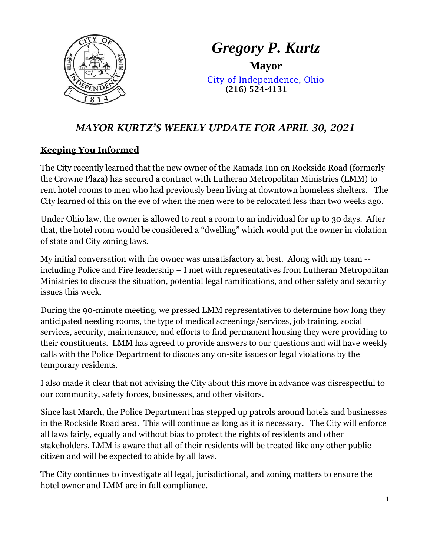

# *Gregory P. Kurtz*

**Mayor** [City of Independence, Ohio](file://///user2019/home$/loraa/My%20Documents/www.independenceohio.org) (216) 524-4131

## *MAYOR KURTZ'S WEEKLY UPDATE FOR APRIL 30, 2021*

#### **Keeping You Informed**

The City recently learned that the new owner of the Ramada Inn on Rockside Road (formerly the Crowne Plaza) has secured a contract with Lutheran Metropolitan Ministries (LMM) to rent hotel rooms to men who had previously been living at downtown homeless shelters. The City learned of this on the eve of when the men were to be relocated less than two weeks ago.

Under Ohio law, the owner is allowed to rent a room to an individual for up to 30 days. After that, the hotel room would be considered a "dwelling" which would put the owner in violation of state and City zoning laws.

My initial conversation with the owner was unsatisfactory at best. Along with my team - including Police and Fire leadership – I met with representatives from Lutheran Metropolitan Ministries to discuss the situation, potential legal ramifications, and other safety and security issues this week.

During the 90-minute meeting, we pressed LMM representatives to determine how long they anticipated needing rooms, the type of medical screenings/services, job training, social services, security, maintenance, and efforts to find permanent housing they were providing to their constituents. LMM has agreed to provide answers to our questions and will have weekly calls with the Police Department to discuss any on-site issues or legal violations by the temporary residents.

I also made it clear that not advising the City about this move in advance was disrespectful to our community, safety forces, businesses, and other visitors.

Since last March, the Police Department has stepped up patrols around hotels and businesses in the Rockside Road area. This will continue as long as it is necessary. The City will enforce all laws fairly, equally and without bias to protect the rights of residents and other stakeholders. LMM is aware that all of their residents will be treated like any other public citizen and will be expected to abide by all laws.

The City continues to investigate all legal, jurisdictional, and zoning matters to ensure the hotel owner and LMM are in full compliance.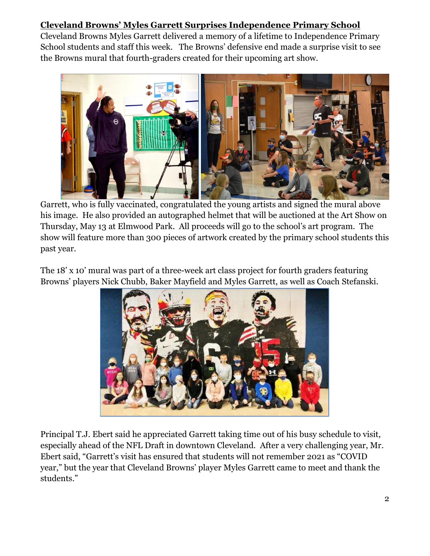## **Cleveland Browns' Myles Garrett Surprises Independence Primary School**

Cleveland Browns Myles Garrett delivered a memory of a lifetime to Independence Primary School students and staff this week. The Browns' defensive end made a surprise visit to see the Browns mural that fourth-graders created for their upcoming art show.



Garrett, who is fully vaccinated, congratulated the young artists and signed the mural above his image. He also provided an autographed helmet that will be auctioned at the Art Show on Thursday, May 13 at Elmwood Park. All proceeds will go to the school's art program. The show will feature more than 300 pieces of artwork created by the primary school students this past year.

The 18' x 10' mural was part of a three-week art class project for fourth graders featuring Browns' players Nick Chubb, Baker Mayfield and Myles Garrett, as well as Coach Stefanski.



Principal T.J. Ebert said he appreciated Garrett taking time out of his busy schedule to visit, especially ahead of the NFL Draft in downtown Cleveland. After a very challenging year, Mr. Ebert said, "Garrett's visit has ensured that students will not remember 2021 as "COVID year," but the year that Cleveland Browns' player Myles Garrett came to meet and thank the students."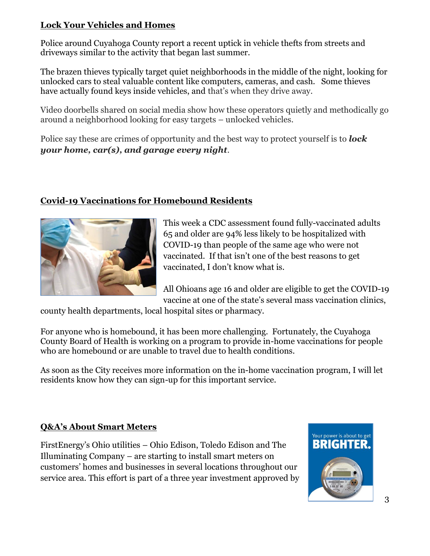#### **Lock Your Vehicles and Homes**

Police around Cuyahoga County report a recent uptick in vehicle thefts from streets and driveways similar to the activity that began last summer.

The brazen thieves typically target quiet neighborhoods in the middle of the night, looking for unlocked cars to steal valuable content like computers, cameras, and cash. Some thieves have actually found keys inside vehicles, and that's when they drive away.

Video doorbells shared on social media show how these operators quietly and methodically go around a neighborhood looking for easy targets – unlocked vehicles.

Police say these are crimes of opportunity and the best way to protect yourself is to *lock your home, car(s), and garage every night*.

### **Covid-19 Vaccinations for Homebound Residents**



This week a CDC assessment found fully-vaccinated adults 65 and older are 94% less likely to be hospitalized with COVID-19 than people of the same age who were not vaccinated. If that isn't one of the best reasons to get vaccinated, I don't know what is.

All Ohioans age 16 and older are eligible to get the COVID-19 vaccine at one of the state's several mass vaccination clinics,

county health departments, local hospital sites or pharmacy.

For anyone who is homebound, it has been more challenging. Fortunately, the Cuyahoga County Board of Health is working on a program to provide in-home vaccinations for people who are homebound or are unable to travel due to health conditions.

As soon as the City receives more information on the in-home vaccination program, I will let residents know how they can sign-up for this important service.

## **Q&A's About Smart Meters**

FirstEnergy's Ohio utilities – Ohio Edison, Toledo Edison and The Illuminating Company – are starting to install smart meters on customers' homes and businesses in several locations throughout our service area. This effort is part of a three year investment approved by

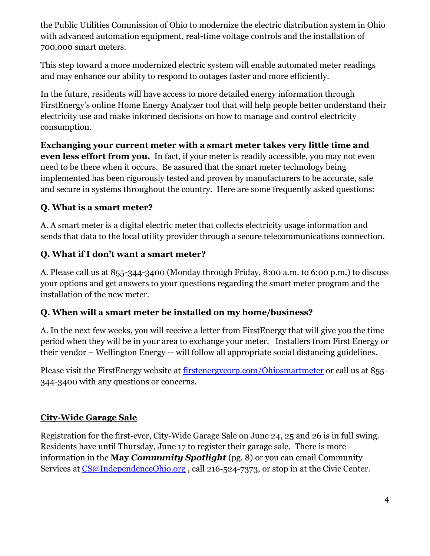the Public Utilities Commission of Ohio to modernize the electric distribution system in Ohio with advanced automation equipment, real-time voltage controls and the installation of 700,000 smart meters.

This step toward a more modernized electric system will enable automated meter readings and may enhance our ability to respond to outages faster and more efficiently.

In the future, residents will have access to more detailed energy information through FirstEnergy's online Home Energy Analyzer tool that will help people better understand their electricity use and make informed decisions on how to manage and control electricity consumption.

**Exchanging your current meter with a smart meter takes very little time and even less effort from you.** In fact, if your meter is readily accessible, you may not even need to be there when it occurs. Be assured that the smart meter technology being implemented has been rigorously tested and proven by manufacturers to be accurate, safe and secure in systems throughout the country. Here are some frequently asked questions:

## **Q. What is a smart meter?**

A. A smart meter is a digital electric meter that collects electricity usage information and sends that data to the local utility provider through a secure telecommunications connection.

## **Q. What if I don't want a smart meter?**

A. Please call us at 855-344-3400 (Monday through Friday, 8:00 a.m. to 6:00 p.m.) to discuss your options and get answers to your questions regarding the smart meter program and the installation of the new meter.

#### **Q. When will a smart meter be installed on my home/business?**

A. In the next few weeks, you will receive a letter from FirstEnergy that will give you the time period when they will be in your area to exchange your meter. Installers from First Energy or their vendor – Wellington Energy -- will follow all appropriate social distancing guidelines.

Please visit the FirstEnergy website at [firstenergycorp.com/Ohiosmartmeter](file://///user2019/home$/loraa/My%20Documents/firstenergycorp.com/Ohiosmartmeter) or call us at 855-344-3400 with any questions or concerns.

#### **City-Wide Garage Sale**

Registration for the first-ever, City-Wide Garage Sale on June 24, 25 and 26 is in full swing. Residents have until Thursday, June 17 to register their garage sale. There is more information in the **May** *Community Spotlight* (pg. 8) or you can email Community Services at [CS@IndependenceOhio.org](mailto:CS@IndependenceOhio.org), call 216-524-7373, or stop in at the Civic Center.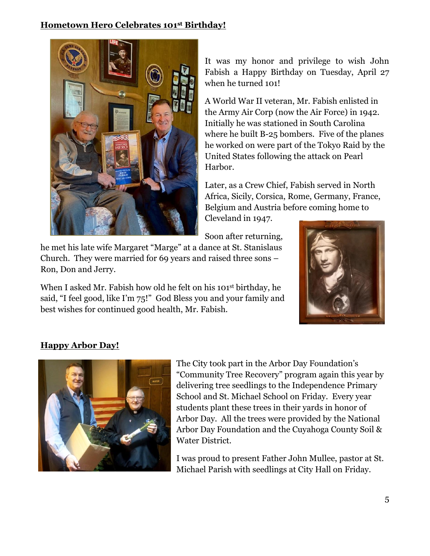#### **Hometown Hero Celebrates 101st Birthday!**



It was my honor and privilege to wish John Fabish a Happy Birthday on Tuesday, April 27 when he turned 101!

A World War II veteran, Mr. Fabish enlisted in the Army Air Corp (now the Air Force) in 1942. Initially he was stationed in South Carolina where he built B-25 bombers. Five of the planes he worked on were part of the Tokyo Raid by the United States following the attack on Pearl Harbor.

Later, as a Crew Chief, Fabish served in North Africa, Sicily, Corsica, Rome, Germany, France, Belgium and Austria before coming home to Cleveland in 1947.

Soon after returning,

he met his late wife Margaret "Marge" at a dance at St. Stanislaus Church. They were married for 69 years and raised three sons – Ron, Don and Jerry.

When I asked Mr. Fabish how old he felt on his 101<sup>st</sup> birthday, he said, "I feel good, like I'm 75!" God Bless you and your family and best wishes for continued good health, Mr. Fabish.



## **Happy Arbor Day!**



The City took part in the Arbor Day Foundation's "Community Tree Recovery" program again this year by delivering tree seedlings to the Independence Primary School and St. Michael School on Friday. Every year students plant these trees in their yards in honor of Arbor Day. All the trees were provided by the National Arbor Day Foundation and the Cuyahoga County Soil & Water District.

I was proud to present Father John Mullee, pastor at St. Michael Parish with seedlings at City Hall on Friday.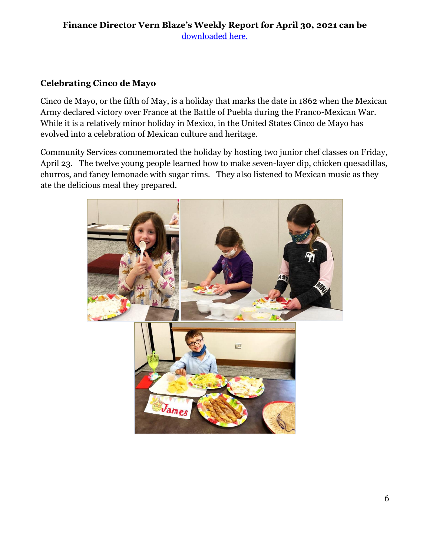#### **Finance Director Vern Blaze's Weekly Report for April 30, 2021 can be** [downloaded here.](http://cms9.revize.com/revize/independenceoh/departments/finance/finance_report_-_weekly_.php#outer-480)

## **Celebrating Cinco de Mayo**

Cinco de Mayo, or the fifth of May, is a holiday that marks the date in 1862 when the Mexican Army declared victory over France at the Battle of Puebla during the Franco-Mexican War. While it is a relatively minor holiday in Mexico, in the United States Cinco de Mayo has evolved into a celebration of Mexican culture and heritage.

Community Services commemorated the holiday by hosting two junior chef classes on Friday, April 23. The twelve young people learned how to make seven-layer dip, chicken quesadillas, churros, and fancy lemonade with sugar rims. They also listened to Mexican music as they ate the delicious meal they prepared.